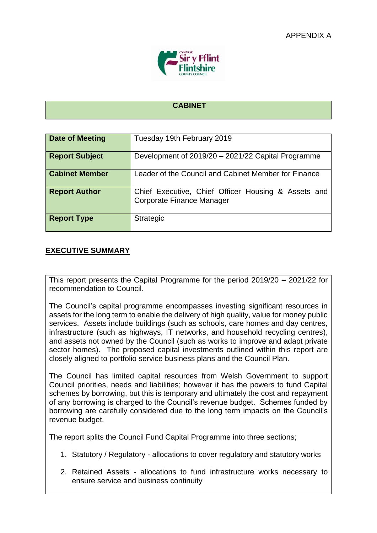

### **CABINET**

| <b>Date of Meeting</b> | Tuesday 19th February 2019                                                              |
|------------------------|-----------------------------------------------------------------------------------------|
| <b>Report Subject</b>  | Development of 2019/20 - 2021/22 Capital Programme                                      |
| <b>Cabinet Member</b>  | Leader of the Council and Cabinet Member for Finance                                    |
| <b>Report Author</b>   | Chief Executive, Chief Officer Housing & Assets and<br><b>Corporate Finance Manager</b> |
| <b>Report Type</b>     | <b>Strategic</b>                                                                        |

### **EXECUTIVE SUMMARY**

This report presents the Capital Programme for the period 2019/20 – 2021/22 for recommendation to Council.

The Council's capital programme encompasses investing significant resources in assets for the long term to enable the delivery of high quality, value for money public services. Assets include buildings (such as schools, care homes and day centres, infrastructure (such as highways, IT networks, and household recycling centres), and assets not owned by the Council (such as works to improve and adapt private sector homes). The proposed capital investments outlined within this report are closely aligned to portfolio service business plans and the Council Plan.

The Council has limited capital resources from Welsh Government to support Council priorities, needs and liabilities; however it has the powers to fund Capital schemes by borrowing, but this is temporary and ultimately the cost and repayment of any borrowing is charged to the Council's revenue budget. Schemes funded by borrowing are carefully considered due to the long term impacts on the Council's revenue budget.

The report splits the Council Fund Capital Programme into three sections;

- 1. Statutory / Regulatory allocations to cover regulatory and statutory works
- 2. Retained Assets allocations to fund infrastructure works necessary to ensure service and business continuity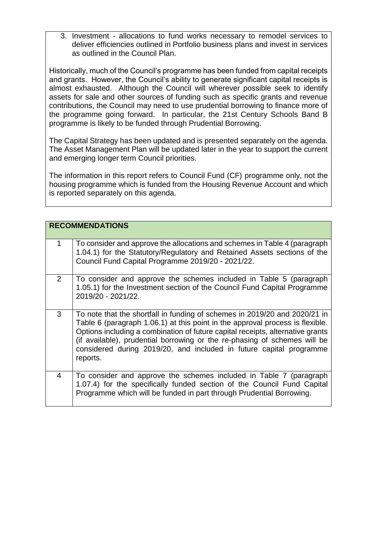3. Investment - allocations to fund works necessary to remodel services to deliver efficiencies outlined in Portfolio business plans and invest in services as outlined in the Council Plan.

Historically, much of the Council's programme has been funded from capital receipts and grants. However, the Council's ability to generate significant capital receipts is almost exhausted. Although the Council will wherever possible seek to identify assets for sale and other sources of funding such as specific grants and revenue contributions, the Council may need to use prudential borrowing to finance more of the programme going forward. In particular, the 21st Century Schools Band B programme is likely to be funded through Prudential Borrowing.

The Capital Strategy has been updated and is presented separately on the agenda. The Asset Management Plan will be updated later in the year to support the current and emerging longer term Council priorities.

The information in this report refers to Council Fund (CF) programme only, not the housing programme which is funded from the Housing Revenue Account and which is reported separately on this agenda.

|                | <b>RECOMMENDATIONS</b>                                                                                                                                                                                                                                                                                                                                                                                        |
|----------------|---------------------------------------------------------------------------------------------------------------------------------------------------------------------------------------------------------------------------------------------------------------------------------------------------------------------------------------------------------------------------------------------------------------|
| 1              | To consider and approve the allocations and schemes in Table 4 (paragraph)<br>1.04.1) for the Statutory/Regulatory and Retained Assets sections of the<br>Council Fund Capital Programme 2019/20 - 2021/22.                                                                                                                                                                                                   |
| $\overline{2}$ | To consider and approve the schemes included in Table 5 (paragraph<br>1.05.1) for the Investment section of the Council Fund Capital Programme<br>2019/20 - 2021/22.                                                                                                                                                                                                                                          |
| 3              | To note that the shortfall in funding of schemes in 2019/20 and 2020/21 in<br>Table 6 (paragraph 1.06.1) at this point in the approval process is flexible.<br>Options including a combination of future capital receipts, alternative grants<br>(if available), prudential borrowing or the re-phasing of schemes will be<br>considered during 2019/20, and included in future capital programme<br>reports. |
| 4              | To consider and approve the schemes included in Table 7 (paragraph<br>1.07.4) for the specifically funded section of the Council Fund Capital<br>Programme which will be funded in part through Prudential Borrowing.                                                                                                                                                                                         |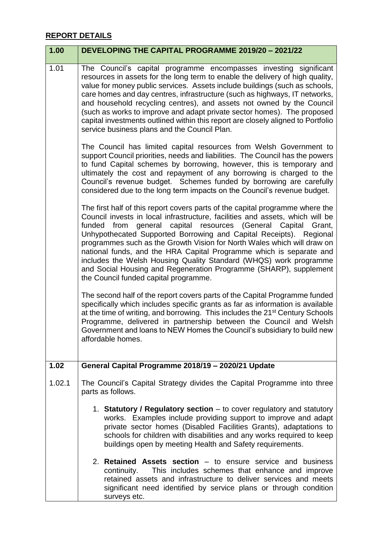# **REPORT DETAILS**

| 1.00   | DEVELOPING THE CAPITAL PROGRAMME 2019/20 - 2021/22                                                                                                                                                                                                                                                                                                                                                                                                                                                                                                                                                                                               |
|--------|--------------------------------------------------------------------------------------------------------------------------------------------------------------------------------------------------------------------------------------------------------------------------------------------------------------------------------------------------------------------------------------------------------------------------------------------------------------------------------------------------------------------------------------------------------------------------------------------------------------------------------------------------|
| 1.01   | The Council's capital programme encompasses investing significant<br>resources in assets for the long term to enable the delivery of high quality,<br>value for money public services. Assets include buildings (such as schools,<br>care homes and day centres, infrastructure (such as highways, IT networks,<br>and household recycling centres), and assets not owned by the Council<br>(such as works to improve and adapt private sector homes). The proposed<br>capital investments outlined within this report are closely aligned to Portfolio<br>service business plans and the Council Plan.                                          |
|        | The Council has limited capital resources from Welsh Government to<br>support Council priorities, needs and liabilities. The Council has the powers<br>to fund Capital schemes by borrowing, however, this is temporary and<br>ultimately the cost and repayment of any borrowing is charged to the<br>Council's revenue budget. Schemes funded by borrowing are carefully<br>considered due to the long term impacts on the Council's revenue budget.                                                                                                                                                                                           |
|        | The first half of this report covers parts of the capital programme where the<br>Council invests in local infrastructure, facilities and assets, which will be<br>from general capital resources (General Capital<br>Grant,<br>funded<br>Unhypothecated Supported Borrowing and Capital Receipts). Regional<br>programmes such as the Growth Vision for North Wales which will draw on<br>national funds, and the HRA Capital Programme which is separate and<br>includes the Welsh Housing Quality Standard (WHQS) work programme<br>and Social Housing and Regeneration Programme (SHARP), supplement<br>the Council funded capital programme. |
|        | The second half of the report covers parts of the Capital Programme funded<br>specifically which includes specific grants as far as information is available<br>at the time of writing, and borrowing. This includes the 21 <sup>st</sup> Century Schools<br>Programme, delivered in partnership between the Council and Welsh<br>Government and loans to NEW Homes the Council's subsidiary to build new<br>affordable homes.                                                                                                                                                                                                                   |
| 1.02   | General Capital Programme 2018/19 - 2020/21 Update                                                                                                                                                                                                                                                                                                                                                                                                                                                                                                                                                                                               |
| 1.02.1 | The Council's Capital Strategy divides the Capital Programme into three<br>parts as follows.                                                                                                                                                                                                                                                                                                                                                                                                                                                                                                                                                     |
|        | 1. Statutory / Regulatory section – to cover regulatory and statutory<br>works. Examples include providing support to improve and adapt<br>private sector homes (Disabled Facilities Grants), adaptations to<br>schools for children with disabilities and any works required to keep<br>buildings open by meeting Health and Safety requirements.                                                                                                                                                                                                                                                                                               |
|        | 2. Retained Assets section – to ensure service and business<br>This includes schemes that enhance and improve<br>continuity.<br>retained assets and infrastructure to deliver services and meets<br>significant need identified by service plans or through condition<br>surveys etc.                                                                                                                                                                                                                                                                                                                                                            |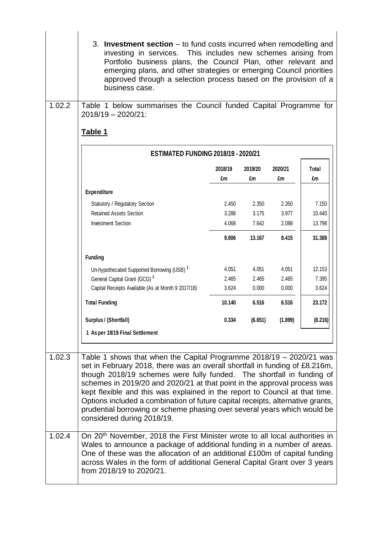|        | 3. Investment section – to fund costs incurred when remodelling and<br>investing in services. This includes new schemes arising from<br>Portfolio business plans, the Council Plan, other relevant and<br>emerging plans, and other strategies or emerging Council priorities<br>approved through a selection process based on the provision of a<br>business case.                                                                                                                                                                                                                |               |               |               |             |
|--------|------------------------------------------------------------------------------------------------------------------------------------------------------------------------------------------------------------------------------------------------------------------------------------------------------------------------------------------------------------------------------------------------------------------------------------------------------------------------------------------------------------------------------------------------------------------------------------|---------------|---------------|---------------|-------------|
| 1.02.2 | Table 1 below summarises the Council funded Capital Programme for<br>2018/19 - 2020/21:                                                                                                                                                                                                                                                                                                                                                                                                                                                                                            |               |               |               |             |
|        |                                                                                                                                                                                                                                                                                                                                                                                                                                                                                                                                                                                    |               |               |               |             |
|        | Table 1                                                                                                                                                                                                                                                                                                                                                                                                                                                                                                                                                                            |               |               |               |             |
|        | <b>ESTIMATED FUNDING 2018/19 - 2020/21</b>                                                                                                                                                                                                                                                                                                                                                                                                                                                                                                                                         |               |               |               |             |
|        |                                                                                                                                                                                                                                                                                                                                                                                                                                                                                                                                                                                    | 2018/19<br>£m | 2019/20<br>£m | 2020/21<br>£m | Total<br>£m |
|        | <b>Expenditure</b>                                                                                                                                                                                                                                                                                                                                                                                                                                                                                                                                                                 |               |               |               |             |
|        | Statutory / Regulatory Section                                                                                                                                                                                                                                                                                                                                                                                                                                                                                                                                                     | 2.450         | 2.350         | 2.350         | 7.150       |
|        | <b>Retained Assets Section</b>                                                                                                                                                                                                                                                                                                                                                                                                                                                                                                                                                     | 3.288         | 3.175         | 3.977         | 10.440      |
|        | <b>Investment Section</b>                                                                                                                                                                                                                                                                                                                                                                                                                                                                                                                                                          | 4.068         | 7.642         | 2.088         | 13.798      |
|        |                                                                                                                                                                                                                                                                                                                                                                                                                                                                                                                                                                                    | 9.806         | 13.167        | 8.415         | 31.388      |
|        | <b>Funding</b>                                                                                                                                                                                                                                                                                                                                                                                                                                                                                                                                                                     |               |               |               |             |
|        | Un-hypothecated Supported Borrowing (USB) <sup>1</sup>                                                                                                                                                                                                                                                                                                                                                                                                                                                                                                                             | 4.051         | 4.051         | 4.051         | 12.153      |
|        | General Capital Grant (GCG) <sup>1</sup>                                                                                                                                                                                                                                                                                                                                                                                                                                                                                                                                           | 2.465         | 2.465         | 2.465         | 7.395       |
|        | Capital Receipts Available (As at Month 9 2017/18)                                                                                                                                                                                                                                                                                                                                                                                                                                                                                                                                 | 3.624         | 0.000         | 0.000         | 3.624       |
|        | <b>Total Funding</b>                                                                                                                                                                                                                                                                                                                                                                                                                                                                                                                                                               | 10.140        | 6.516         | 6.516         | 23.172      |
|        | Surplus / (Shortfall)                                                                                                                                                                                                                                                                                                                                                                                                                                                                                                                                                              | 0.334         | (6.651)       | (1.899)       | (8.216)     |
|        | 1 As per 18/19 Final Settlement                                                                                                                                                                                                                                                                                                                                                                                                                                                                                                                                                    |               |               |               |             |
|        |                                                                                                                                                                                                                                                                                                                                                                                                                                                                                                                                                                                    |               |               |               |             |
| 1.02.3 | Table 1 shows that when the Capital Programme 2018/19 - 2020/21 was<br>set in February 2018, there was an overall shortfall in funding of £8.216m,<br>though 2018/19 schemes were fully funded. The shortfall in funding of<br>schemes in 2019/20 and 2020/21 at that point in the approval process was<br>kept flexible and this was explained in the report to Council at that time.<br>Options included a combination of future capital receipts, alternative grants,<br>prudential borrowing or scheme phasing over several years which would be<br>considered during 2018/19. |               |               |               |             |
| 1.02.4 | On 20 <sup>th</sup> November, 2018 the First Minister wrote to all local authorities in<br>Wales to announce a package of additional funding in a number of areas.<br>One of these was the allocation of an additional £100m of capital funding<br>across Wales in the form of additional General Capital Grant over 3 years<br>from 2018/19 to 2020/21.                                                                                                                                                                                                                           |               |               |               |             |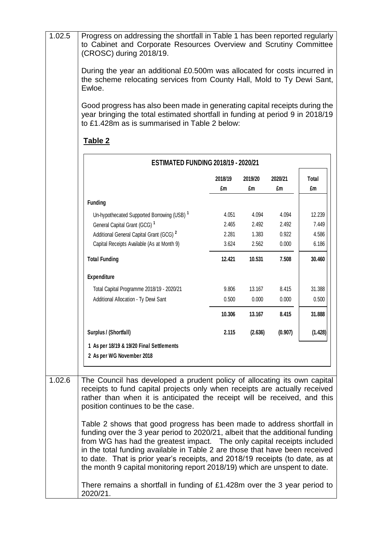| 1.02.5 | Progress on addressing the shortfall in Table 1 has been reported regularly<br>to Cabinet and Corporate Resources Overview and Scrutiny Committee<br>(CROSC) during 2018/19.                                                                                                                                                                                                                                                                                                   |         |         |         |         |
|--------|--------------------------------------------------------------------------------------------------------------------------------------------------------------------------------------------------------------------------------------------------------------------------------------------------------------------------------------------------------------------------------------------------------------------------------------------------------------------------------|---------|---------|---------|---------|
|        | During the year an additional £0.500m was allocated for costs incurred in<br>the scheme relocating services from County Hall, Mold to Ty Dewi Sant,<br>Ewloe.                                                                                                                                                                                                                                                                                                                  |         |         |         |         |
|        | Good progress has also been made in generating capital receipts during the<br>year bringing the total estimated shortfall in funding at period 9 in 2018/19<br>to £1.428m as is summarised in Table 2 below:                                                                                                                                                                                                                                                                   |         |         |         |         |
|        | <b>Table 2</b><br><b>ESTIMATED FUNDING 2018/19 - 2020/21</b>                                                                                                                                                                                                                                                                                                                                                                                                                   |         |         |         |         |
|        |                                                                                                                                                                                                                                                                                                                                                                                                                                                                                | 2018/19 | 2019/20 | 2020/21 | Total   |
|        |                                                                                                                                                                                                                                                                                                                                                                                                                                                                                | £m      | £m      | £m      | £m      |
|        | <b>Funding</b>                                                                                                                                                                                                                                                                                                                                                                                                                                                                 |         |         |         |         |
|        | Un-hypothecated Supported Borrowing (USB) <sup>1</sup>                                                                                                                                                                                                                                                                                                                                                                                                                         | 4.051   | 4.094   | 4.094   | 12.239  |
|        | General Capital Grant (GCG) <sup>1</sup>                                                                                                                                                                                                                                                                                                                                                                                                                                       | 2.465   | 2.492   | 2.492   | 7.449   |
|        | Additional General Capital Grant (GCG) <sup>2</sup>                                                                                                                                                                                                                                                                                                                                                                                                                            | 2.281   | 1.383   | 0.922   | 4.586   |
|        | Capital Receipts Available (As at Month 9)                                                                                                                                                                                                                                                                                                                                                                                                                                     | 3.624   | 2.562   | 0.000   | 6.186   |
|        | <b>Total Funding</b>                                                                                                                                                                                                                                                                                                                                                                                                                                                           | 12.421  | 10.531  | 7.508   | 30.460  |
|        | <b>Expenditure</b>                                                                                                                                                                                                                                                                                                                                                                                                                                                             |         |         |         |         |
|        | Total Capital Programme 2018/19 - 2020/21                                                                                                                                                                                                                                                                                                                                                                                                                                      | 9.806   | 13.167  | 8.415   | 31.388  |
|        | Additional Allocation - Ty Dewi Sant                                                                                                                                                                                                                                                                                                                                                                                                                                           | 0.500   | 0.000   | 0.000   | 0.500   |
|        |                                                                                                                                                                                                                                                                                                                                                                                                                                                                                | 10.306  | 13.167  | 8.415   | 31.888  |
|        | Surplus / (Shortfall)                                                                                                                                                                                                                                                                                                                                                                                                                                                          | 2.115   | (2.636) | (0.907) | (1.428) |
|        | 1 As per 18/19 & 19/20 Final Settlements<br>2 As per WG November 2018                                                                                                                                                                                                                                                                                                                                                                                                          |         |         |         |         |
|        |                                                                                                                                                                                                                                                                                                                                                                                                                                                                                |         |         |         |         |
| 1.02.6 | The Council has developed a prudent policy of allocating its own capital<br>receipts to fund capital projects only when receipts are actually received<br>rather than when it is anticipated the receipt will be received, and this<br>position continues to be the case.                                                                                                                                                                                                      |         |         |         |         |
|        | Table 2 shows that good progress has been made to address shortfall in<br>funding over the 3 year period to 2020/21, albeit that the additional funding<br>from WG has had the greatest impact. The only capital receipts included<br>in the total funding available in Table 2 are those that have been received<br>to date. That is prior year's receipts, and 2018/19 receipts (to date, as at<br>the month 9 capital monitoring report 2018/19) which are unspent to date. |         |         |         |         |
|        | There remains a shortfall in funding of £1.428m over the 3 year period to<br>2020/21.                                                                                                                                                                                                                                                                                                                                                                                          |         |         |         |         |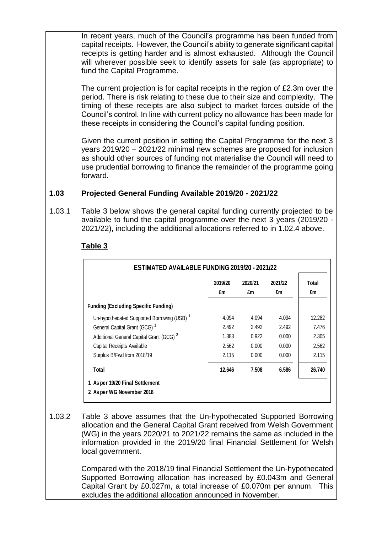|        | In recent years, much of the Council's programme has been funded from<br>capital receipts. However, the Council's ability to generate significant capital<br>receipts is getting harder and is almost exhausted. Although the Council<br>will wherever possible seek to identify assets for sale (as appropriate) to<br>fund the Capital Programme.                                                    |                |                |                |                |
|--------|--------------------------------------------------------------------------------------------------------------------------------------------------------------------------------------------------------------------------------------------------------------------------------------------------------------------------------------------------------------------------------------------------------|----------------|----------------|----------------|----------------|
|        | The current projection is for capital receipts in the region of £2.3m over the<br>period. There is risk relating to these due to their size and complexity. The<br>timing of these receipts are also subject to market forces outside of the<br>Council's control. In line with current policy no allowance has been made for<br>these receipts in considering the Council's capital funding position. |                |                |                |                |
|        | Given the current position in setting the Capital Programme for the next 3<br>years 2019/20 - 2021/22 minimal new schemes are proposed for inclusion<br>as should other sources of funding not materialise the Council will need to<br>use prudential borrowing to finance the remainder of the programme going<br>forward.                                                                            |                |                |                |                |
| 1.03   | Projected General Funding Available 2019/20 - 2021/22                                                                                                                                                                                                                                                                                                                                                  |                |                |                |                |
| 1.03.1 | Table 3 below shows the general capital funding currently projected to be<br>available to fund the capital programme over the next 3 years (2019/20 -<br>2021/22), including the additional allocations referred to in 1.02.4 above.<br>Table 3<br>ESTIMATED AVAILABLE FUNDING 2019/20 - 2021/22                                                                                                       |                |                |                |                |
|        |                                                                                                                                                                                                                                                                                                                                                                                                        |                |                |                |                |
|        |                                                                                                                                                                                                                                                                                                                                                                                                        | 2019/20<br>£m  | 2020/21<br>£m  | 2021/22<br>£m  | Total<br>£m    |
|        | <b>Funding (Excluding Specific Funding)</b>                                                                                                                                                                                                                                                                                                                                                            |                |                |                |                |
|        | Un-hypothecated Supported Borrowing (USB) <sup>1</sup>                                                                                                                                                                                                                                                                                                                                                 | 4.094          | 4.094          | 4.094          | 12.282         |
|        | General Capital Grant (GCG) <sup>1</sup>                                                                                                                                                                                                                                                                                                                                                               | 2.492          | 2.492          | 2.492          | 7.476          |
|        | Additional General Capital Grant (GCG) <sup>2</sup>                                                                                                                                                                                                                                                                                                                                                    | 1.383          | 0.922          | 0.000          | 2.305          |
|        | Capital Receipts Available<br>Surplus B/Fwd from 2018/19                                                                                                                                                                                                                                                                                                                                               | 2.562<br>2.115 | 0.000<br>0.000 | 0.000<br>0.000 | 2.562<br>2.115 |
|        | Total                                                                                                                                                                                                                                                                                                                                                                                                  | 12.646         | 7.508          | 6.586          | 26.740         |
|        | 1 As per 19/20 Final Settlement<br>2 As per WG November 2018                                                                                                                                                                                                                                                                                                                                           |                |                |                |                |
| 1.03.2 | Table 3 above assumes that the Un-hypothecated Supported Borrowing<br>allocation and the General Capital Grant received from Welsh Government<br>(WG) in the years 2020/21 to 2021/22 remains the same as included in the<br>information provided in the 2019/20 final Financial Settlement for Welsh<br>local government.                                                                             |                |                |                |                |
|        | Compared with the 2018/19 final Financial Settlement the Un-hypothecated<br>Supported Borrowing allocation has increased by £0.043m and General<br>Capital Grant by £0.027m, a total increase of £0.070m per annum. This<br>excludes the additional allocation announced in November.                                                                                                                  |                |                |                |                |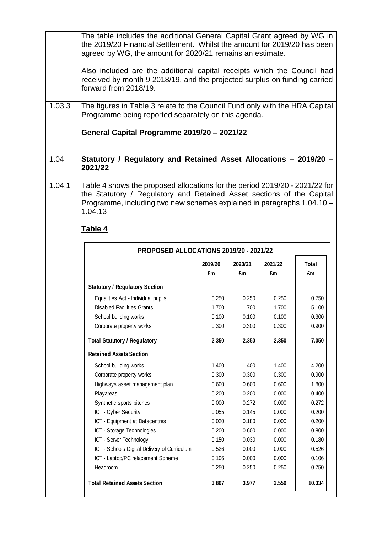| The table includes the additional General Capital Grant agreed by WG in  |
|--------------------------------------------------------------------------|
| the 2019/20 Financial Settlement. Whilst the amount for 2019/20 has been |
| agreed by WG, the amount for 2020/21 remains an estimate.                |

Also included are the additional capital receipts which the Council had received by month 9 2018/19, and the projected surplus on funding carried forward from 2018/19.

1.03.3 The figures in Table 3 relate to the Council Fund only with the HRA Capital Programme being reported separately on this agenda.

# **General Capital Programme 2019/20 – 2021/22**

- 1.04 **Statutory / Regulatory and Retained Asset Allocations – 2019/20 – 2021/22**
- 1.04.1 Table 4 shows the proposed allocations for the period 2019/20 2021/22 for the Statutory / Regulatory and Retained Asset sections of the Capital Programme, including two new schemes explained in paragraphs 1.04.10 – 1.04.13

# **Table 4**

|                                              | 2019/20<br>£m | 2020/21<br>£m | 2021/22<br>£m | <b>Total</b><br>£m |
|----------------------------------------------|---------------|---------------|---------------|--------------------|
| <b>Statutory / Regulatory Section</b>        |               |               |               |                    |
| Equalities Act - Individual pupils           | 0.250         | 0.250         | 0.250         | 0.750              |
| <b>Disabled Facilities Grants</b>            | 1.700         | 1.700         | 1.700         | 5.100              |
| School building works                        | 0.100         | 0.100         | 0.100         | 0.300              |
| Corporate property works                     | 0.300         | 0.300         | 0.300         | 0.900              |
| <b>Total Statutory / Regulatory</b>          | 2.350         | 2.350         | 2.350         | 7.050              |
| <b>Retained Assets Section</b>               |               |               |               |                    |
| School building works                        | 1.400         | 1.400         | 1.400         | 4.200              |
| Corporate property works                     | 0.300         | 0.300         | 0.300         | 0.900              |
| Highways asset management plan               | 0.600         | 0.600         | 0.600         | 1.800              |
| Playareas                                    | 0.200         | 0.200         | 0.000         | 0.400              |
| Synthetic sports pitches                     | 0.000         | 0.272         | 0.000         | 0.272              |
| ICT - Cyber Security                         | 0.055         | 0.145         | 0.000         | 0.200              |
| ICT - Equipment at Datacentres               | 0.020         | 0.180         | 0.000         | 0.200              |
| ICT - Storage Technologies                   | 0.200         | 0.600         | 0.000         | 0.800              |
| ICT - Server Technology                      | 0.150         | 0.030         | 0.000         | 0.180              |
| ICT - Schools Digital Delivery of Curriculum | 0.526         | 0.000         | 0.000         | 0.526              |
| ICT - Laptop/PC relacement Scheme            | 0.106         | 0.000         | 0.000         | 0.106              |
| Headroom                                     | 0.250         | 0.250         | 0.250         | 0.750              |
| <b>Total Retained Assets Section</b>         | 3.807         | 3.977         | 2.550         | 10.334             |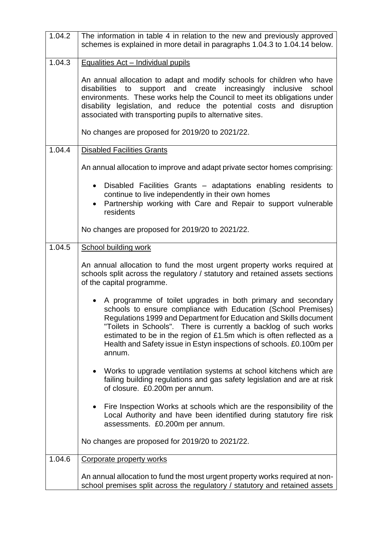| 1.04.2 | The information in table 4 in relation to the new and previously approved<br>schemes is explained in more detail in paragraphs 1.04.3 to 1.04.14 below.                                                                                                                                                                                                                                                                          |
|--------|----------------------------------------------------------------------------------------------------------------------------------------------------------------------------------------------------------------------------------------------------------------------------------------------------------------------------------------------------------------------------------------------------------------------------------|
| 1.04.3 | Equalities Act - Individual pupils                                                                                                                                                                                                                                                                                                                                                                                               |
|        | An annual allocation to adapt and modify schools for children who have<br>disabilities to support and create increasingly inclusive<br>school<br>environments. These works help the Council to meet its obligations under<br>disability legislation, and reduce the potential costs and disruption<br>associated with transporting pupils to alternative sites.                                                                  |
|        | No changes are proposed for 2019/20 to 2021/22.                                                                                                                                                                                                                                                                                                                                                                                  |
| 1.04.4 | <b>Disabled Facilities Grants</b>                                                                                                                                                                                                                                                                                                                                                                                                |
|        | An annual allocation to improve and adapt private sector homes comprising:                                                                                                                                                                                                                                                                                                                                                       |
|        | Disabled Facilities Grants – adaptations enabling residents to<br>$\bullet$<br>continue to live independently in their own homes<br>Partnership working with Care and Repair to support vulnerable<br>$\bullet$<br>residents                                                                                                                                                                                                     |
|        | No changes are proposed for 2019/20 to 2021/22.                                                                                                                                                                                                                                                                                                                                                                                  |
| 1.04.5 | <b>School building work</b>                                                                                                                                                                                                                                                                                                                                                                                                      |
|        | An annual allocation to fund the most urgent property works required at<br>schools split across the regulatory / statutory and retained assets sections<br>of the capital programme.                                                                                                                                                                                                                                             |
|        | A programme of toilet upgrades in both primary and secondary<br>schools to ensure compliance with Education (School Premises)<br>Regulations 1999 and Department for Education and Skills document<br>"Toilets in Schools". There is currently a backlog of such works<br>estimated to be in the region of £1.5m which is often reflected as a<br>Health and Safety issue in Estyn inspections of schools. £0.100m per<br>annum. |
|        | Works to upgrade ventilation systems at school kitchens which are<br>$\bullet$<br>failing building regulations and gas safety legislation and are at risk<br>of closure. £0.200m per annum.                                                                                                                                                                                                                                      |
|        | Fire Inspection Works at schools which are the responsibility of the<br>$\bullet$<br>Local Authority and have been identified during statutory fire risk<br>assessments. £0.200m per annum.                                                                                                                                                                                                                                      |
|        | No changes are proposed for 2019/20 to 2021/22.                                                                                                                                                                                                                                                                                                                                                                                  |
| 1.04.6 | Corporate property works                                                                                                                                                                                                                                                                                                                                                                                                         |
|        | An annual allocation to fund the most urgent property works required at non-<br>school premises split across the regulatory / statutory and retained assets                                                                                                                                                                                                                                                                      |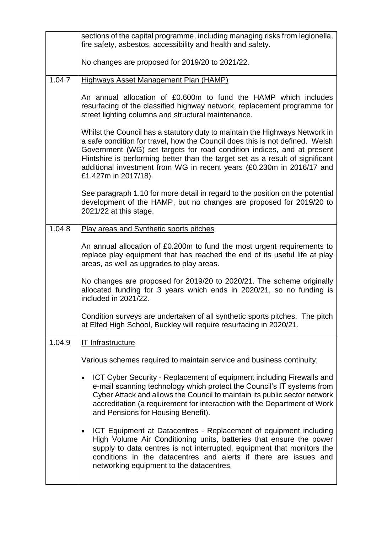|        | sections of the capital programme, including managing risks from legionella,<br>fire safety, asbestos, accessibility and health and safety.                                                                                                                                                                                                                                                                              |
|--------|--------------------------------------------------------------------------------------------------------------------------------------------------------------------------------------------------------------------------------------------------------------------------------------------------------------------------------------------------------------------------------------------------------------------------|
|        | No changes are proposed for 2019/20 to 2021/22.                                                                                                                                                                                                                                                                                                                                                                          |
| 1.04.7 | <b>Highways Asset Management Plan (HAMP)</b>                                                                                                                                                                                                                                                                                                                                                                             |
|        | An annual allocation of £0.600m to fund the HAMP which includes<br>resurfacing of the classified highway network, replacement programme for<br>street lighting columns and structural maintenance.                                                                                                                                                                                                                       |
|        | Whilst the Council has a statutory duty to maintain the Highways Network in<br>a safe condition for travel, how the Council does this is not defined. Welsh<br>Government (WG) set targets for road condition indices, and at present<br>Flintshire is performing better than the target set as a result of significant<br>additional investment from WG in recent years (£0.230m in 2016/17 and<br>£1.427m in 2017/18). |
|        | See paragraph 1.10 for more detail in regard to the position on the potential<br>development of the HAMP, but no changes are proposed for 2019/20 to<br>2021/22 at this stage.                                                                                                                                                                                                                                           |
| 1.04.8 | Play areas and Synthetic sports pitches                                                                                                                                                                                                                                                                                                                                                                                  |
|        | An annual allocation of £0.200m to fund the most urgent requirements to<br>replace play equipment that has reached the end of its useful life at play<br>areas, as well as upgrades to play areas.                                                                                                                                                                                                                       |
|        | No changes are proposed for 2019/20 to 2020/21. The scheme originally<br>allocated funding for 3 years which ends in 2020/21, so no funding is<br>included in 2021/22.                                                                                                                                                                                                                                                   |
|        | Condition surveys are undertaken of all synthetic sports pitches. The pitch<br>at Elfed High School, Buckley will require resurfacing in 2020/21.                                                                                                                                                                                                                                                                        |
| 1.04.9 | <b>IT Infrastructure</b>                                                                                                                                                                                                                                                                                                                                                                                                 |
|        | Various schemes required to maintain service and business continuity;                                                                                                                                                                                                                                                                                                                                                    |
|        | ICT Cyber Security - Replacement of equipment including Firewalls and<br>٠<br>e-mail scanning technology which protect the Council's IT systems from<br>Cyber Attack and allows the Council to maintain its public sector network<br>accreditation (a requirement for interaction with the Department of Work<br>and Pensions for Housing Benefit).                                                                      |
|        | ICT Equipment at Datacentres - Replacement of equipment including<br>$\bullet$<br>High Volume Air Conditioning units, batteries that ensure the power<br>supply to data centres is not interrupted, equipment that monitors the<br>conditions in the datacentres and alerts if there are issues and<br>networking equipment to the datacentres.                                                                          |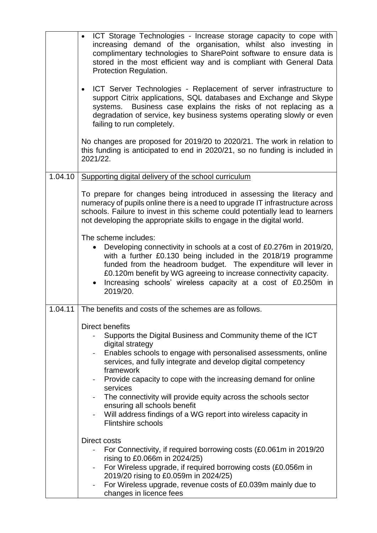|         | • ICT Storage Technologies - Increase storage capacity to cope with<br>increasing demand of the organisation, whilst also investing in<br>complimentary technologies to SharePoint software to ensure data is<br>stored in the most efficient way and is compliant with General Data<br>Protection Regulation.                                                                                                                                                                                                                                                       |
|---------|----------------------------------------------------------------------------------------------------------------------------------------------------------------------------------------------------------------------------------------------------------------------------------------------------------------------------------------------------------------------------------------------------------------------------------------------------------------------------------------------------------------------------------------------------------------------|
|         | ICT Server Technologies - Replacement of server infrastructure to<br>$\bullet$<br>support Citrix applications, SQL databases and Exchange and Skype<br>Business case explains the risks of not replacing as a<br>systems.<br>degradation of service, key business systems operating slowly or even<br>failing to run completely.                                                                                                                                                                                                                                     |
|         | No changes are proposed for 2019/20 to 2020/21. The work in relation to<br>this funding is anticipated to end in 2020/21, so no funding is included in<br>2021/22.                                                                                                                                                                                                                                                                                                                                                                                                   |
| 1.04.10 | Supporting digital delivery of the school curriculum                                                                                                                                                                                                                                                                                                                                                                                                                                                                                                                 |
|         | To prepare for changes being introduced in assessing the literacy and<br>numeracy of pupils online there is a need to upgrade IT infrastructure across<br>schools. Failure to invest in this scheme could potentially lead to learners<br>not developing the appropriate skills to engage in the digital world.                                                                                                                                                                                                                                                      |
|         | The scheme includes:<br>Developing connectivity in schools at a cost of £0.276m in 2019/20,<br>with a further £0.130 being included in the 2018/19 programme<br>funded from the headroom budget. The expenditure will lever in<br>£0.120m benefit by WG agreeing to increase connectivity capacity.<br>Increasing schools' wireless capacity at a cost of £0.250m in<br>2019/20.                                                                                                                                                                                     |
| 1.04.11 | The benefits and costs of the schemes are as follows.                                                                                                                                                                                                                                                                                                                                                                                                                                                                                                                |
|         | <b>Direct benefits</b><br>Supports the Digital Business and Community theme of the ICT<br>digital strategy<br>Enables schools to engage with personalised assessments, online<br>$\sim 100$<br>services, and fully integrate and develop digital competency<br>framework<br>- Provide capacity to cope with the increasing demand for online<br>services<br>The connectivity will provide equity across the schools sector<br>ensuring all schools benefit<br>Will address findings of a WG report into wireless capacity in<br>$\blacksquare$<br>Flintshire schools |
|         | <b>Direct costs</b><br>For Connectivity, if required borrowing costs (£0.061m in 2019/20<br>$\blacksquare$<br>rising to £0.066m in 2024/25)<br>For Wireless upgrade, if required borrowing costs (£0.056m in<br>$\sim$ 10 $\pm$<br>2019/20 rising to £0.059m in 2024/25)<br>For Wireless upgrade, revenue costs of £0.039m mainly due to<br>changes in licence fees                                                                                                                                                                                                  |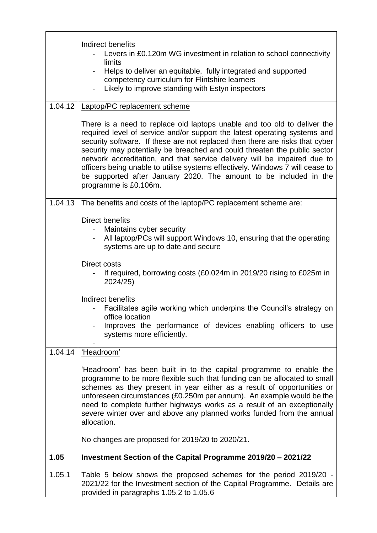|         | Indirect benefits<br>Levers in £0.120m WG investment in relation to school connectivity<br>limits<br>Helps to deliver an equitable, fully integrated and supported<br>competency curriculum for Flintshire learners<br>Likely to improve standing with Estyn inspectors                                                                                                                                                                                                                                                                                                       |
|---------|-------------------------------------------------------------------------------------------------------------------------------------------------------------------------------------------------------------------------------------------------------------------------------------------------------------------------------------------------------------------------------------------------------------------------------------------------------------------------------------------------------------------------------------------------------------------------------|
| 1.04.12 | Laptop/PC replacement scheme                                                                                                                                                                                                                                                                                                                                                                                                                                                                                                                                                  |
|         | There is a need to replace old laptops unable and too old to deliver the<br>required level of service and/or support the latest operating systems and<br>security software. If these are not replaced then there are risks that cyber<br>security may potentially be breached and could threaten the public sector<br>network accreditation, and that service delivery will be impaired due to<br>officers being unable to utilise systems effectively. Windows 7 will cease to<br>be supported after January 2020. The amount to be included in the<br>programme is £0.106m. |
| 1.04.13 | The benefits and costs of the laptop/PC replacement scheme are:                                                                                                                                                                                                                                                                                                                                                                                                                                                                                                               |
|         | <b>Direct benefits</b><br>Maintains cyber security<br>All laptop/PCs will support Windows 10, ensuring that the operating<br>systems are up to date and secure<br>Direct costs<br>If required, borrowing costs (£0.024m in 2019/20 rising to £025m in                                                                                                                                                                                                                                                                                                                         |
|         | 2024/25)                                                                                                                                                                                                                                                                                                                                                                                                                                                                                                                                                                      |
|         | Indirect benefits<br>Facilitates agile working which underpins the Council's strategy on<br>office location<br>Improves the performance of devices enabling officers to use<br>systems more efficiently.                                                                                                                                                                                                                                                                                                                                                                      |
| 1.04.14 | 'Headroom'                                                                                                                                                                                                                                                                                                                                                                                                                                                                                                                                                                    |
|         | 'Headroom' has been built in to the capital programme to enable the<br>programme to be more flexible such that funding can be allocated to small<br>schemes as they present in year either as a result of opportunities or<br>unforeseen circumstances (£0.250m per annum). An example would be the<br>need to complete further highways works as a result of an exceptionally<br>severe winter over and above any planned works funded from the annual<br>allocation.                                                                                                        |
|         | No changes are proposed for 2019/20 to 2020/21.                                                                                                                                                                                                                                                                                                                                                                                                                                                                                                                               |
| 1.05    | Investment Section of the Capital Programme 2019/20 - 2021/22                                                                                                                                                                                                                                                                                                                                                                                                                                                                                                                 |
| 1.05.1  | Table 5 below shows the proposed schemes for the period 2019/20 -<br>2021/22 for the Investment section of the Capital Programme. Details are<br>provided in paragraphs 1.05.2 to 1.05.6                                                                                                                                                                                                                                                                                                                                                                                      |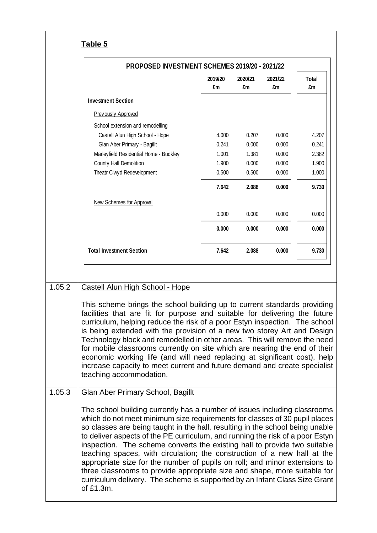**Table 5**

|        | PROPOSED INVESTMENT SCHEMES 2019/20 - 2021/22                                                                                                                                                                                                                                                                                                                                                                                                                                                                                                                                                                                                                                                                                            |               |               |               |                    |
|--------|------------------------------------------------------------------------------------------------------------------------------------------------------------------------------------------------------------------------------------------------------------------------------------------------------------------------------------------------------------------------------------------------------------------------------------------------------------------------------------------------------------------------------------------------------------------------------------------------------------------------------------------------------------------------------------------------------------------------------------------|---------------|---------------|---------------|--------------------|
|        |                                                                                                                                                                                                                                                                                                                                                                                                                                                                                                                                                                                                                                                                                                                                          | 2019/20<br>£m | 2020/21<br>£m | 2021/22<br>£m | <b>Total</b><br>£m |
|        | <b>Investment Section</b>                                                                                                                                                                                                                                                                                                                                                                                                                                                                                                                                                                                                                                                                                                                |               |               |               |                    |
|        | <b>Previously Approved</b>                                                                                                                                                                                                                                                                                                                                                                                                                                                                                                                                                                                                                                                                                                               |               |               |               |                    |
|        | School extension and remodelling                                                                                                                                                                                                                                                                                                                                                                                                                                                                                                                                                                                                                                                                                                         |               |               |               |                    |
|        | Castell Alun High School - Hope                                                                                                                                                                                                                                                                                                                                                                                                                                                                                                                                                                                                                                                                                                          | 4.000         | 0.207         | 0.000         | 4.207              |
|        | Glan Aber Primary - Bagillt                                                                                                                                                                                                                                                                                                                                                                                                                                                                                                                                                                                                                                                                                                              | 0.241         | 0.000         | 0.000         | 0.241              |
|        | Marleyfield Residential Home - Buckley                                                                                                                                                                                                                                                                                                                                                                                                                                                                                                                                                                                                                                                                                                   | 1.001         | 1.381         | 0.000         | 2.382              |
|        | County Hall Demolition                                                                                                                                                                                                                                                                                                                                                                                                                                                                                                                                                                                                                                                                                                                   | 1.900         | 0.000         | 0.000         | 1.900              |
|        | Theatr Clwyd Redevelopment                                                                                                                                                                                                                                                                                                                                                                                                                                                                                                                                                                                                                                                                                                               | 0.500         | 0.500         | 0.000         | 1.000              |
|        |                                                                                                                                                                                                                                                                                                                                                                                                                                                                                                                                                                                                                                                                                                                                          | 7.642         | 2.088         | 0.000         | 9.730              |
|        | New Schemes for Approval                                                                                                                                                                                                                                                                                                                                                                                                                                                                                                                                                                                                                                                                                                                 |               |               |               |                    |
|        |                                                                                                                                                                                                                                                                                                                                                                                                                                                                                                                                                                                                                                                                                                                                          | 0.000         | 0.000         | 0.000         | 0.000              |
|        |                                                                                                                                                                                                                                                                                                                                                                                                                                                                                                                                                                                                                                                                                                                                          | 0.000         | 0.000         | 0.000         | 0.000              |
|        | <b>Total Investment Section</b>                                                                                                                                                                                                                                                                                                                                                                                                                                                                                                                                                                                                                                                                                                          | 7.642         | 2.088         | 0.000         | 9.730              |
|        | This scheme brings the school building up to current standards providing<br>facilities that are fit for purpose and suitable for delivering the future<br>curriculum, helping reduce the risk of a poor Estyn inspection. The school<br>is being extended with the provision of a new two storey Art and Design<br>Technology block and remodelled in other areas. This will remove the need<br>for mobile classrooms currently on site which are nearing the end of their<br>economic working life (and will need replacing at significant cost), help<br>increase capacity to meet current and future demand and create specialist<br>teaching accommodation.                                                                          |               |               |               |                    |
| 1.05.3 | <b>Glan Aber Primary School, Bagillt</b>                                                                                                                                                                                                                                                                                                                                                                                                                                                                                                                                                                                                                                                                                                 |               |               |               |                    |
|        | The school building currently has a number of issues including classrooms<br>which do not meet minimum size requirements for classes of 30 pupil places<br>so classes are being taught in the hall, resulting in the school being unable<br>to deliver aspects of the PE curriculum, and running the risk of a poor Estyn<br>inspection. The scheme converts the existing hall to provide two suitable<br>teaching spaces, with circulation; the construction of a new hall at the<br>appropriate size for the number of pupils on roll; and minor extensions to<br>three classrooms to provide appropriate size and shape, more suitable for<br>curriculum delivery. The scheme is supported by an Infant Class Size Grant<br>of £1.3m. |               |               |               |                    |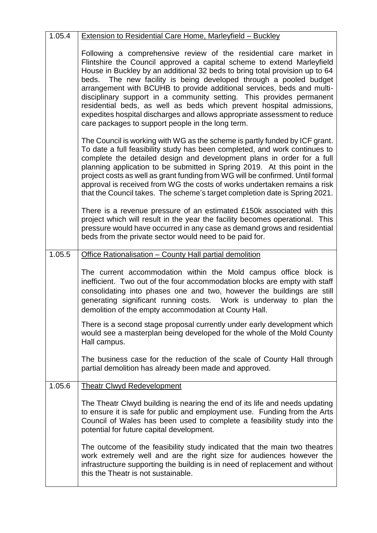| 1.05.4 | <b>Extension to Residential Care Home, Marleyfield - Buckley</b>                                                                                                                                                                                                                                                                                                                                                                                                                                                                                                                                                                                             |
|--------|--------------------------------------------------------------------------------------------------------------------------------------------------------------------------------------------------------------------------------------------------------------------------------------------------------------------------------------------------------------------------------------------------------------------------------------------------------------------------------------------------------------------------------------------------------------------------------------------------------------------------------------------------------------|
|        | Following a comprehensive review of the residential care market in<br>Flintshire the Council approved a capital scheme to extend Marleyfield<br>House in Buckley by an additional 32 beds to bring total provision up to 64<br>beds. The new facility is being developed through a pooled budget<br>arrangement with BCUHB to provide additional services, beds and multi-<br>disciplinary support in a community setting. This provides permanent<br>residential beds, as well as beds which prevent hospital admissions,<br>expedites hospital discharges and allows appropriate assessment to reduce<br>care packages to support people in the long term. |
|        | The Council is working with WG as the scheme is partly funded by ICF grant.<br>To date a full feasibility study has been completed, and work continues to<br>complete the detailed design and development plans in order for a full<br>planning application to be submitted in Spring 2019. At this point in the<br>project costs as well as grant funding from WG will be confirmed. Until formal<br>approval is received from WG the costs of works undertaken remains a risk<br>that the Council takes. The scheme's target completion date is Spring 2021.                                                                                               |
|        | There is a revenue pressure of an estimated £150k associated with this<br>project which will result in the year the facility becomes operational. This<br>pressure would have occurred in any case as demand grows and residential<br>beds from the private sector would need to be paid for.                                                                                                                                                                                                                                                                                                                                                                |
| 1.05.5 | Office Rationalisation - County Hall partial demolition                                                                                                                                                                                                                                                                                                                                                                                                                                                                                                                                                                                                      |
|        | The current accommodation within the Mold campus office block is<br>inefficient. Two out of the four accommodation blocks are empty with staff<br>consolidating into phases one and two, however the buildings are still<br>generating significant running costs. Work is underway to plan the<br>demolition of the empty accommodation at County Hall.                                                                                                                                                                                                                                                                                                      |
|        | There is a second stage proposal currently under early development which<br>would see a masterplan being developed for the whole of the Mold County<br>Hall campus.                                                                                                                                                                                                                                                                                                                                                                                                                                                                                          |
|        | The business case for the reduction of the scale of County Hall through<br>partial demolition has already been made and approved.                                                                                                                                                                                                                                                                                                                                                                                                                                                                                                                            |
| 1.05.6 | <b>Theatr Clwyd Redevelopment</b>                                                                                                                                                                                                                                                                                                                                                                                                                                                                                                                                                                                                                            |
|        | The Theatr Clwyd building is nearing the end of its life and needs updating<br>to ensure it is safe for public and employment use. Funding from the Arts<br>Council of Wales has been used to complete a feasibility study into the<br>potential for future capital development.                                                                                                                                                                                                                                                                                                                                                                             |
|        | The outcome of the feasibility study indicated that the main two theatres<br>work extremely well and are the right size for audiences however the<br>infrastructure supporting the building is in need of replacement and without<br>this the Theatr is not sustainable.                                                                                                                                                                                                                                                                                                                                                                                     |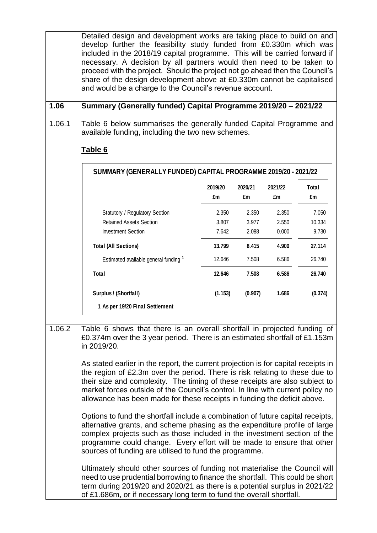Detailed design and development works are taking place to build on and develop further the feasibility study funded from £0.330m which was included in the 2018/19 capital programme. This will be carried forward if necessary. A decision by all partners would then need to be taken to proceed with the project. Should the project not go ahead then the Council's share of the design development above at £0.330m cannot be capitalised and would be a charge to the Council's revenue account. **1.06 Summary (Generally funded) Capital Programme 2019/20 – 2021/22** 1.06.1 Table 6 below summarises the generally funded Capital Programme and available funding, including the two new schemes. **Table 6 2019/20 2020/21 2021/22 Total £m £m £m £m** Statutory / Regulatory Section 2.350 2.350 2.350 2.350 7.050 Retained Assets Section **3.807** 3.977 2.550 1 10.334 Investment Section 1 1 2.642 2.088 0.000 9.730 **Total (All Sections) 13.799 8.415 4.900 27.114** Estimated available general funding **<sup>1</sup>** 12.646 7.508 6.586 26.740 **Total 12.646 7.508 6.586 26.740 Surplus / (Shortfall) (1.153) (0.907) 1.686 (0.374) 1 As per 19/20 Final Settlement SUMMARY (GENERALLY FUNDED) CAPITAL PROGRAMME 2019/20 - 2021/22** 1.06.2 Table 6 shows that there is an overall shortfall in projected funding of £0.374m over the 3 year period. There is an estimated shortfall of £1.153m in 2019/20. As stated earlier in the report, the current projection is for capital receipts in the region of £2.3m over the period. There is risk relating to these due to their size and complexity. The timing of these receipts are also subject to market forces outside of the Council's control. In line with current policy no allowance has been made for these receipts in funding the deficit above. Options to fund the shortfall include a combination of future capital receipts, alternative grants, and scheme phasing as the expenditure profile of large complex projects such as those included in the investment section of the programme could change. Every effort will be made to ensure that other sources of funding are utilised to fund the programme. Ultimately should other sources of funding not materialise the Council will need to use prudential borrowing to finance the shortfall. This could be short term during 2019/20 and 2020/21 as there is a potential surplus in 2021/22 of £1.686m, or if necessary long term to fund the overall shortfall.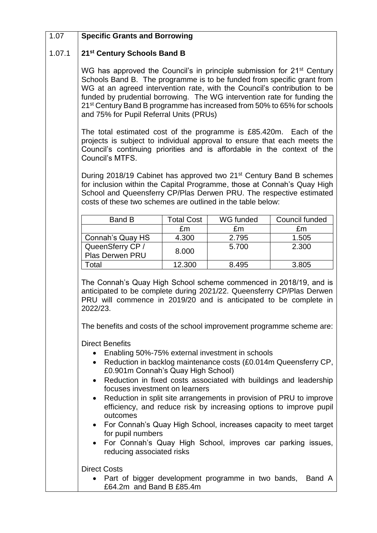#### 1.07 **Specific Grants and Borrowing**

#### 1.07.1 **21st Century Schools Band B**

WG has approved the Council's in principle submission for 21<sup>st</sup> Century Schools Band B. The programme is to be funded from specific grant from WG at an agreed intervention rate, with the Council's contribution to be funded by prudential borrowing. The WG intervention rate for funding the 21st Century Band B programme has increased from 50% to 65% for schools and 75% for Pupil Referral Units (PRUs)

The total estimated cost of the programme is £85.420m. Each of the projects is subject to individual approval to ensure that each meets the Council's continuing priorities and is affordable in the context of the Council's MTFS.

During 2018/19 Cabinet has approved two 21<sup>st</sup> Century Band B schemes for inclusion within the Capital Programme, those at Connah's Quay High School and Queensferry CP/Plas Derwen PRU. The respective estimated costs of these two schemes are outlined in the table below:

| Band B                              | Total Cost | WG funded | Council funded |
|-------------------------------------|------------|-----------|----------------|
|                                     | £m         | £m        | £m             |
| Connah's Quay HS                    | 4.300      | 2.795     | 1.505          |
| QueenSferry CP /<br>Plas Derwen PRU | 8.000      | 5.700     | 2.300          |
| otal                                | 12.300     | 8.495     | 3.805          |

The Connah's Quay High School scheme commenced in 2018/19, and is anticipated to be complete during 2021/22. Queensferry CP/Plas Derwen PRU will commence in 2019/20 and is anticipated to be complete in 2022/23.

The benefits and costs of the school improvement programme scheme are:

Direct Benefits

- Enabling 50%-75% external investment in schools
- Reduction in backlog maintenance costs (£0.014m Queensferry CP, £0.901m Connah's Quay High School)
- Reduction in fixed costs associated with buildings and leadership focuses investment on learners
- Reduction in split site arrangements in provision of PRU to improve efficiency, and reduce risk by increasing options to improve pupil outcomes
- For Connah's Quay High School, increases capacity to meet target for pupil numbers
- For Connah's Quay High School, improves car parking issues, reducing associated risks

Direct Costs

• Part of bigger development programme in two bands, Band A £64.2m and Band B £85.4m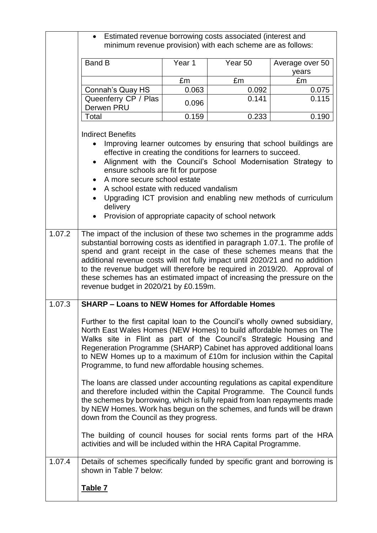|        | Estimated revenue borrowing costs associated (interest and                                                                                                                                                                                                                                                                                                                                                                                                                                                     |        | minimum revenue provision) with each scheme are as follows:                                                          |                                                                                                                                                                                                     |
|--------|----------------------------------------------------------------------------------------------------------------------------------------------------------------------------------------------------------------------------------------------------------------------------------------------------------------------------------------------------------------------------------------------------------------------------------------------------------------------------------------------------------------|--------|----------------------------------------------------------------------------------------------------------------------|-----------------------------------------------------------------------------------------------------------------------------------------------------------------------------------------------------|
|        | <b>Band B</b>                                                                                                                                                                                                                                                                                                                                                                                                                                                                                                  | Year 1 | Year <sub>50</sub>                                                                                                   | Average over 50<br>years                                                                                                                                                                            |
|        |                                                                                                                                                                                                                                                                                                                                                                                                                                                                                                                | £m     | £m                                                                                                                   | £m                                                                                                                                                                                                  |
|        | Connah's Quay HS                                                                                                                                                                                                                                                                                                                                                                                                                                                                                               | 0.063  | 0.092                                                                                                                | 0.075                                                                                                                                                                                               |
|        | Queenferry CP / Plas<br>Derwen PRU                                                                                                                                                                                                                                                                                                                                                                                                                                                                             | 0.096  | 0.141                                                                                                                | 0.115                                                                                                                                                                                               |
|        | Total                                                                                                                                                                                                                                                                                                                                                                                                                                                                                                          | 0.159  | 0.233                                                                                                                | 0.190                                                                                                                                                                                               |
|        | <b>Indirect Benefits</b>                                                                                                                                                                                                                                                                                                                                                                                                                                                                                       |        |                                                                                                                      |                                                                                                                                                                                                     |
| 1.07.2 | ensure schools are fit for purpose<br>A more secure school estate<br>A school estate with reduced vandalism<br>delivery                                                                                                                                                                                                                                                                                                                                                                                        |        | effective in creating the conditions for learners to succeed.<br>Provision of appropriate capacity of school network | Improving learner outcomes by ensuring that school buildings are<br>Alignment with the Council's School Modernisation Strategy to<br>Upgrading ICT provision and enabling new methods of curriculum |
|        | The impact of the inclusion of these two schemes in the programme adds<br>substantial borrowing costs as identified in paragraph 1.07.1. The profile of<br>spend and grant receipt in the case of these schemes means that the<br>additional revenue costs will not fully impact until 2020/21 and no addition<br>to the revenue budget will therefore be required in 2019/20. Approval of<br>these schemes has an estimated impact of increasing the pressure on the<br>revenue budget in 2020/21 by £0.159m. |        |                                                                                                                      |                                                                                                                                                                                                     |
| 1.07.3 | <b>SHARP - Loans to NEW Homes for Affordable Homes</b>                                                                                                                                                                                                                                                                                                                                                                                                                                                         |        |                                                                                                                      |                                                                                                                                                                                                     |
|        | Further to the first capital loan to the Council's wholly owned subsidiary,<br>North East Wales Homes (NEW Homes) to build affordable homes on The<br>Walks site in Flint as part of the Council's Strategic Housing and<br>Regeneration Programme (SHARP) Cabinet has approved additional loans<br>to NEW Homes up to a maximum of £10m for inclusion within the Capital<br>Programme, to fund new affordable housing schemes.                                                                                |        |                                                                                                                      |                                                                                                                                                                                                     |
|        | The loans are classed under accounting regulations as capital expenditure<br>and therefore included within the Capital Programme. The Council funds<br>the schemes by borrowing, which is fully repaid from loan repayments made<br>by NEW Homes. Work has begun on the schemes, and funds will be drawn<br>down from the Council as they progress.                                                                                                                                                            |        |                                                                                                                      |                                                                                                                                                                                                     |
|        | The building of council houses for social rents forms part of the HRA<br>activities and will be included within the HRA Capital Programme.                                                                                                                                                                                                                                                                                                                                                                     |        |                                                                                                                      |                                                                                                                                                                                                     |
| 1.07.4 | Details of schemes specifically funded by specific grant and borrowing is<br>shown in Table 7 below:                                                                                                                                                                                                                                                                                                                                                                                                           |        |                                                                                                                      |                                                                                                                                                                                                     |
|        | <u>Table 7</u>                                                                                                                                                                                                                                                                                                                                                                                                                                                                                                 |        |                                                                                                                      |                                                                                                                                                                                                     |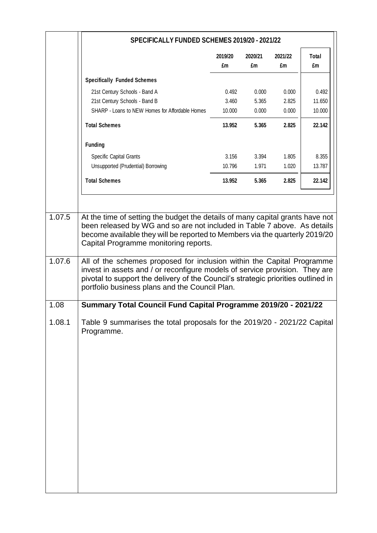|        | SPECIFICALLY FUNDED SCHEMES 2019/20 - 2021/22                                                                                                                                                                                                                                                |               |               |               |             |
|--------|----------------------------------------------------------------------------------------------------------------------------------------------------------------------------------------------------------------------------------------------------------------------------------------------|---------------|---------------|---------------|-------------|
|        |                                                                                                                                                                                                                                                                                              | 2019/20<br>£m | 2020/21<br>£m | 2021/22<br>£m | Total<br>£m |
|        | <b>Specifically Funded Schemes</b>                                                                                                                                                                                                                                                           |               |               |               |             |
|        | 21st Century Schools - Band A                                                                                                                                                                                                                                                                | 0.492         | 0.000         | 0.000         | 0.492       |
|        | 21st Century Schools - Band B                                                                                                                                                                                                                                                                | 3.460         | 5.365         | 2.825         | 11.650      |
|        | SHARP - Loans to NEW Homes for Affordable Homes                                                                                                                                                                                                                                              | 10.000        | 0.000         | 0.000         | 10.000      |
|        | <b>Total Schemes</b>                                                                                                                                                                                                                                                                         | 13.952        | 5.365         | 2.825         | 22.142      |
|        | <b>Funding</b>                                                                                                                                                                                                                                                                               |               |               |               |             |
|        | Specific Capital Grants                                                                                                                                                                                                                                                                      | 3.156         | 3.394         | 1.805         | 8.355       |
|        | Unsupported (Prudential) Borrowing                                                                                                                                                                                                                                                           | 10.796        | 1.971         | 1.020         | 13.787      |
|        | <b>Total Schemes</b>                                                                                                                                                                                                                                                                         | 13.952        | 5.365         | 2.825         | 22.142      |
| 1.07.5 | At the time of setting the budget the details of many capital grants have not<br>been released by WG and so are not included in Table 7 above. As details                                                                                                                                    |               |               |               |             |
|        | become available they will be reported to Members via the quarterly 2019/20<br>Capital Programme monitoring reports.                                                                                                                                                                         |               |               |               |             |
| 1.07.6 | All of the schemes proposed for inclusion within the Capital Programme<br>invest in assets and / or reconfigure models of service provision. They are<br>pivotal to support the delivery of the Council's strategic priorities outlined in<br>portfolio business plans and the Council Plan. |               |               |               |             |
| 1.08   | Summary Total Council Fund Capital Programme 2019/20 - 2021/22                                                                                                                                                                                                                               |               |               |               |             |
| 1.08.1 | Table 9 summarises the total proposals for the 2019/20 - 2021/22 Capital<br>Programme.                                                                                                                                                                                                       |               |               |               |             |
|        |                                                                                                                                                                                                                                                                                              |               |               |               |             |
|        |                                                                                                                                                                                                                                                                                              |               |               |               |             |
|        |                                                                                                                                                                                                                                                                                              |               |               |               |             |
|        |                                                                                                                                                                                                                                                                                              |               |               |               |             |
|        |                                                                                                                                                                                                                                                                                              |               |               |               |             |
|        |                                                                                                                                                                                                                                                                                              |               |               |               |             |
|        |                                                                                                                                                                                                                                                                                              |               |               |               |             |
|        |                                                                                                                                                                                                                                                                                              |               |               |               |             |
|        |                                                                                                                                                                                                                                                                                              |               |               |               |             |
|        |                                                                                                                                                                                                                                                                                              |               |               |               |             |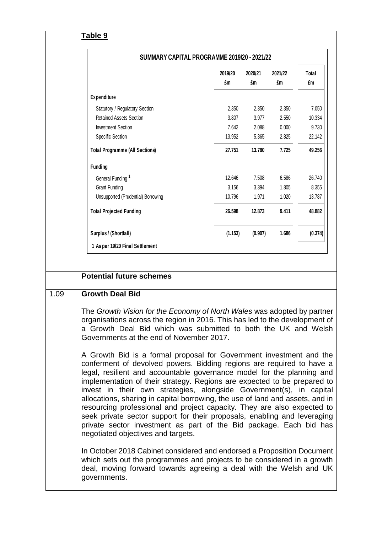|--|

|                                                                                                                                                                                                                                                                                                                                                                                                                                                                                                                                                                                                                                                        | 2019/20<br>£m | 2020/21<br>£m | 2021/22<br>£m | Total<br>£m |
|--------------------------------------------------------------------------------------------------------------------------------------------------------------------------------------------------------------------------------------------------------------------------------------------------------------------------------------------------------------------------------------------------------------------------------------------------------------------------------------------------------------------------------------------------------------------------------------------------------------------------------------------------------|---------------|---------------|---------------|-------------|
| <b>Expenditure</b>                                                                                                                                                                                                                                                                                                                                                                                                                                                                                                                                                                                                                                     |               |               |               |             |
| Statutory / Regulatory Section                                                                                                                                                                                                                                                                                                                                                                                                                                                                                                                                                                                                                         | 2.350         | 2.350         | 2.350         | 7.050       |
| <b>Retained Assets Section</b>                                                                                                                                                                                                                                                                                                                                                                                                                                                                                                                                                                                                                         | 3.807         | 3.977         | 2.550         | 10.334      |
| <b>Investment Section</b>                                                                                                                                                                                                                                                                                                                                                                                                                                                                                                                                                                                                                              | 7.642         | 2.088         | 0.000         | 9.730       |
| Specific Section                                                                                                                                                                                                                                                                                                                                                                                                                                                                                                                                                                                                                                       | 13.952        | 5.365         | 2.825         | 22.142      |
| <b>Total Programme (All Sections)</b>                                                                                                                                                                                                                                                                                                                                                                                                                                                                                                                                                                                                                  | 27.751        | 13.780        | 7.725         | 49.256      |
| <b>Funding</b>                                                                                                                                                                                                                                                                                                                                                                                                                                                                                                                                                                                                                                         |               |               |               |             |
| General Funding <sup>1</sup>                                                                                                                                                                                                                                                                                                                                                                                                                                                                                                                                                                                                                           | 12.646        | 7.508         | 6.586         | 26.740      |
| <b>Grant Funding</b>                                                                                                                                                                                                                                                                                                                                                                                                                                                                                                                                                                                                                                   | 3.156         | 3.394         | 1.805         | 8.355       |
| Unsupported (Prudential) Borrowing                                                                                                                                                                                                                                                                                                                                                                                                                                                                                                                                                                                                                     | 10.796        | 1.971         | 1.020         | 13.787      |
| <b>Total Projected Funding</b>                                                                                                                                                                                                                                                                                                                                                                                                                                                                                                                                                                                                                         | 26.598        | 12.873        | 9.411         | 48.882      |
| Surplus / (Shortfall)                                                                                                                                                                                                                                                                                                                                                                                                                                                                                                                                                                                                                                  | (1.153)       | (0.907)       | 1.686         | (0.374)     |
| 1 As per 19/20 Final Settlement                                                                                                                                                                                                                                                                                                                                                                                                                                                                                                                                                                                                                        |               |               |               |             |
| <b>Growth Deal Bid</b>                                                                                                                                                                                                                                                                                                                                                                                                                                                                                                                                                                                                                                 |               |               |               |             |
| The Growth Vision for the Economy of North Wales was adopted by partner<br>organisations across the region in 2016. This has led to the development of<br>a Growth Deal Bid which was submitted to both the UK and Welsh<br>Governments at the end of November 2017.<br>A Growth Bid is a formal proposal for Government investment and the                                                                                                                                                                                                                                                                                                            |               |               |               |             |
| conferment of devolved powers. Bidding regions are required to have a<br>legal, resilient and accountable governance model for the planning and<br>implementation of their strategy. Regions are expected to be prepared to<br>invest in their own strategies, alongside Government(s), in capital<br>allocations, sharing in capital borrowing, the use of land and assets, and in<br>resourcing professional and project capacity. They are also expected to<br>seek private sector support for their proposals, enabling and leveraging<br>private sector investment as part of the Bid package. Each bid has<br>negotiated objectives and targets. |               |               |               |             |
| In October 2018 Cabinet considered and endorsed a Proposition Document<br>which sets out the programmes and projects to be considered in a growth                                                                                                                                                                                                                                                                                                                                                                                                                                                                                                      |               |               |               |             |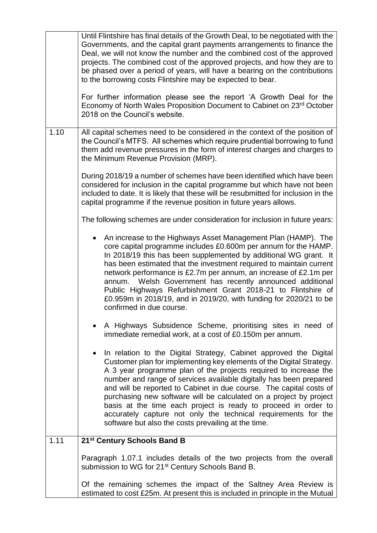|      | Until Flintshire has final details of the Growth Deal, to be negotiated with the<br>Governments, and the capital grant payments arrangements to finance the<br>Deal, we will not know the number and the combined cost of the approved<br>projects. The combined cost of the approved projects, and how they are to<br>be phased over a period of years, will have a bearing on the contributions<br>to the borrowing costs Flintshire may be expected to bear.<br>For further information please see the report 'A Growth Deal for the<br>Economy of North Wales Proposition Document to Cabinet on 23rd October<br>2018 on the Council's website. |
|------|-----------------------------------------------------------------------------------------------------------------------------------------------------------------------------------------------------------------------------------------------------------------------------------------------------------------------------------------------------------------------------------------------------------------------------------------------------------------------------------------------------------------------------------------------------------------------------------------------------------------------------------------------------|
| 1.10 | All capital schemes need to be considered in the context of the position of<br>the Council's MTFS. All schemes which require prudential borrowing to fund<br>them add revenue pressures in the form of interest charges and charges to<br>the Minimum Revenue Provision (MRP).                                                                                                                                                                                                                                                                                                                                                                      |
|      | During 2018/19 a number of schemes have been identified which have been<br>considered for inclusion in the capital programme but which have not been<br>included to date. It is likely that these will be resubmitted for inclusion in the<br>capital programme if the revenue position in future years allows.                                                                                                                                                                                                                                                                                                                                     |
|      | The following schemes are under consideration for inclusion in future years:                                                                                                                                                                                                                                                                                                                                                                                                                                                                                                                                                                        |
|      | An increase to the Highways Asset Management Plan (HAMP). The<br>$\bullet$<br>core capital programme includes £0.600m per annum for the HAMP.<br>In 2018/19 this has been supplemented by additional WG grant. It<br>has been estimated that the investment required to maintain current<br>network performance is £2.7m per annum, an increase of £2.1m per<br>annum. Welsh Government has recently announced additional<br>Public Highways Refurbishment Grant 2018-21 to Flintshire of<br>£0.959m in 2018/19, and in 2019/20, with funding for 2020/21 to be<br>confirmed in due course.                                                         |
|      | A Highways Subsidence Scheme, prioritising sites in need of<br>immediate remedial work, at a cost of £0.150m per annum.                                                                                                                                                                                                                                                                                                                                                                                                                                                                                                                             |
|      | In relation to the Digital Strategy, Cabinet approved the Digital<br>$\bullet$<br>Customer plan for implementing key elements of the Digital Strategy.<br>A 3 year programme plan of the projects required to increase the<br>number and range of services available digitally has been prepared<br>and will be reported to Cabinet in due course. The capital costs of<br>purchasing new software will be calculated on a project by project<br>basis at the time each project is ready to proceed in order to<br>accurately capture not only the technical requirements for the<br>software but also the costs prevailing at the time.            |
| 1.11 | 21st Century Schools Band B                                                                                                                                                                                                                                                                                                                                                                                                                                                                                                                                                                                                                         |
|      | Paragraph 1.07.1 includes details of the two projects from the overall<br>submission to WG for 21 <sup>st</sup> Century Schools Band B.                                                                                                                                                                                                                                                                                                                                                                                                                                                                                                             |
|      | Of the remaining schemes the impact of the Saltney Area Review is<br>estimated to cost £25m. At present this is included in principle in the Mutual                                                                                                                                                                                                                                                                                                                                                                                                                                                                                                 |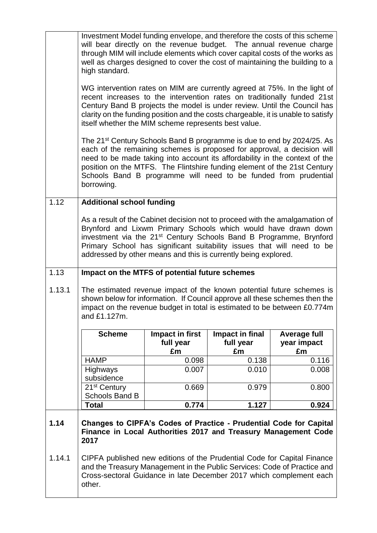|        | Investment Model funding envelope, and therefore the costs of this scheme<br>will bear directly on the revenue budget. The annual revenue charge<br>through MIM will include elements which cover capital costs of the works as<br>well as charges designed to cover the cost of maintaining the building to a<br>high standard.                                                                          |                 |                 |                     |  |
|--------|-----------------------------------------------------------------------------------------------------------------------------------------------------------------------------------------------------------------------------------------------------------------------------------------------------------------------------------------------------------------------------------------------------------|-----------------|-----------------|---------------------|--|
|        | WG intervention rates on MIM are currently agreed at 75%. In the light of<br>recent increases to the intervention rates on traditionally funded 21st<br>Century Band B projects the model is under review. Until the Council has<br>clarity on the funding position and the costs chargeable, it is unable to satisfy<br>itself whether the MIM scheme represents best value.                             |                 |                 |                     |  |
|        | The 21 <sup>st</sup> Century Schools Band B programme is due to end by 2024/25. As<br>each of the remaining schemes is proposed for approval, a decision will<br>need to be made taking into account its affordability in the context of the<br>position on the MTFS. The Flintshire funding element of the 21st Century<br>Schools Band B programme will need to be funded from prudential<br>borrowing. |                 |                 |                     |  |
| 1.12   | <b>Additional school funding</b>                                                                                                                                                                                                                                                                                                                                                                          |                 |                 |                     |  |
|        | As a result of the Cabinet decision not to proceed with the amalgamation of<br>Brynford and Lixwm Primary Schools which would have drawn down<br>investment via the 21 <sup>st</sup> Century Schools Band B Programme, Brynford<br>Primary School has significant suitability issues that will need to be<br>addressed by other means and this is currently being explored.                               |                 |                 |                     |  |
| 1.13   | Impact on the MTFS of potential future schemes                                                                                                                                                                                                                                                                                                                                                            |                 |                 |                     |  |
| 1.13.1 | The estimated revenue impact of the known potential future schemes is<br>shown below for information. If Council approve all these schemes then the<br>impact on the revenue budget in total is estimated to be between £0.774m<br>and £1.127m.                                                                                                                                                           |                 |                 |                     |  |
|        | <b>Scheme</b>                                                                                                                                                                                                                                                                                                                                                                                             | Impact in first | Impact in final | <b>Average full</b> |  |
|        |                                                                                                                                                                                                                                                                                                                                                                                                           | full year       | full year       | year impact         |  |
|        | <b>HAMP</b>                                                                                                                                                                                                                                                                                                                                                                                               | £m<br>0.098     | £m<br>0.138     | £m<br>0.116         |  |
|        | Highways                                                                                                                                                                                                                                                                                                                                                                                                  | 0.007           | 0.010           | 0.008               |  |
|        | subsidence                                                                                                                                                                                                                                                                                                                                                                                                |                 |                 |                     |  |
|        | 21 <sup>st</sup> Century<br>Schools Band B                                                                                                                                                                                                                                                                                                                                                                | 0.669           | 0.979           | 0.800               |  |
|        | <b>Total</b>                                                                                                                                                                                                                                                                                                                                                                                              | 0.774           | 1.127           | 0.924               |  |
| 1.14   | Changes to CIPFA's Codes of Practice - Prudential Code for Capital<br>Finance in Local Authorities 2017 and Treasury Management Code<br>2017                                                                                                                                                                                                                                                              |                 |                 |                     |  |
| 1.14.1 | CIPFA published new editions of the Prudential Code for Capital Finance<br>and the Treasury Management in the Public Services: Code of Practice and<br>Cross-sectoral Guidance in late December 2017 which complement each<br>other.                                                                                                                                                                      |                 |                 |                     |  |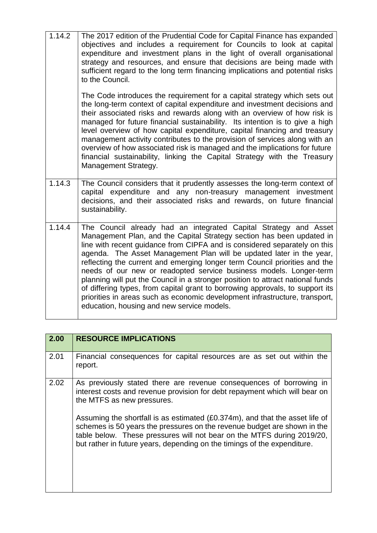| 1.14.2 | The 2017 edition of the Prudential Code for Capital Finance has expanded<br>objectives and includes a requirement for Councils to look at capital<br>expenditure and investment plans in the light of overall organisational<br>strategy and resources, and ensure that decisions are being made with<br>sufficient regard to the long term financing implications and potential risks<br>to the Council.                                                                                                                                                                                                                                                                                                                                          |
|--------|----------------------------------------------------------------------------------------------------------------------------------------------------------------------------------------------------------------------------------------------------------------------------------------------------------------------------------------------------------------------------------------------------------------------------------------------------------------------------------------------------------------------------------------------------------------------------------------------------------------------------------------------------------------------------------------------------------------------------------------------------|
|        | The Code introduces the requirement for a capital strategy which sets out<br>the long-term context of capital expenditure and investment decisions and<br>their associated risks and rewards along with an overview of how risk is<br>managed for future financial sustainability. Its intention is to give a high<br>level overview of how capital expenditure, capital financing and treasury<br>management activity contributes to the provision of services along with an<br>overview of how associated risk is managed and the implications for future<br>financial sustainability, linking the Capital Strategy with the Treasury<br>Management Strategy.                                                                                    |
| 1.14.3 | The Council considers that it prudently assesses the long-term context of<br>capital expenditure and any non-treasury management investment<br>decisions, and their associated risks and rewards, on future financial<br>sustainability.                                                                                                                                                                                                                                                                                                                                                                                                                                                                                                           |
| 1.14.4 | The Council already had an integrated Capital Strategy and Asset<br>Management Plan, and the Capital Strategy section has been updated in<br>line with recent guidance from CIPFA and is considered separately on this<br>agenda. The Asset Management Plan will be updated later in the year,<br>reflecting the current and emerging longer term Council priorities and the<br>needs of our new or readopted service business models. Longer-term<br>planning will put the Council in a stronger position to attract national funds<br>of differing types, from capital grant to borrowing approvals, to support its<br>priorities in areas such as economic development infrastructure, transport,<br>education, housing and new service models. |

| 2.00 | <b>RESOURCE IMPLICATIONS</b>                                                                                                                                                                                                                                                                                   |
|------|----------------------------------------------------------------------------------------------------------------------------------------------------------------------------------------------------------------------------------------------------------------------------------------------------------------|
| 2.01 | Financial consequences for capital resources are as set out within the<br>report.                                                                                                                                                                                                                              |
| 2.02 | As previously stated there are revenue consequences of borrowing in<br>interest costs and revenue provision for debt repayment which will bear on<br>the MTFS as new pressures.                                                                                                                                |
|      | Assuming the shortfall is as estimated (£0.374m), and that the asset life of<br>schemes is 50 years the pressures on the revenue budget are shown in the<br>table below. These pressures will not bear on the MTFS during 2019/20,<br>but rather in future years, depending on the timings of the expenditure. |
|      |                                                                                                                                                                                                                                                                                                                |

Г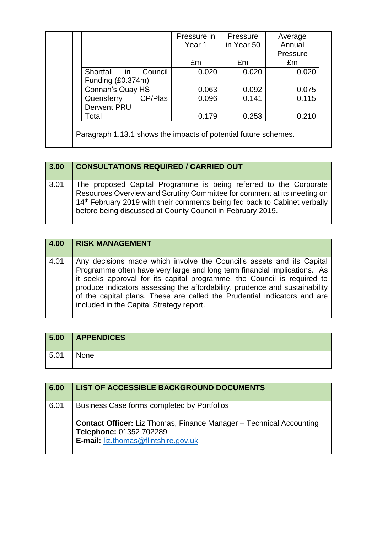|                         | Pressure in | Pressure   | Average  |
|-------------------------|-------------|------------|----------|
|                         | Year 1      | in Year 50 | Annual   |
|                         |             |            | Pressure |
|                         | Em          | £m         | £m       |
| Shortfall in<br>Council | 0.020       | 0.020      | 0.020    |
| Funding (£0.374m)       |             |            |          |
| Connah's Quay HS        | 0.063       | 0.092      | 0.075    |
| CP/Plas<br>Quensferry   | 0.096       | 0.141      | 0.115    |
| <b>Derwent PRU</b>      |             |            |          |
| Total                   | 0.179       | 0.253      | 0.210    |

| 3.00 | <b>CONSULTATIONS REQUIRED / CARRIED OUT</b>                                                                                                                                                                                                                                                         |
|------|-----------------------------------------------------------------------------------------------------------------------------------------------------------------------------------------------------------------------------------------------------------------------------------------------------|
| 3.01 | The proposed Capital Programme is being referred to the Corporate<br>Resources Overview and Scrutiny Committee for comment at its meeting on<br>14 <sup>th</sup> February 2019 with their comments being fed back to Cabinet verbally<br>before being discussed at County Council in February 2019. |

| 4.00 | <b>RISK MANAGEMENT</b>                                                                                                                                                                                                                                                                                                                                                                                                              |
|------|-------------------------------------------------------------------------------------------------------------------------------------------------------------------------------------------------------------------------------------------------------------------------------------------------------------------------------------------------------------------------------------------------------------------------------------|
| 4.01 | Any decisions made which involve the Council's assets and its Capital<br>Programme often have very large and long term financial implications. As<br>it seeks approval for its capital programme, the Council is required to<br>produce indicators assessing the affordability, prudence and sustainability<br>of the capital plans. These are called the Prudential Indicators and are<br>included in the Capital Strategy report. |

| 5.00 | <b>APPENDICES</b> |
|------|-------------------|
| 5.01 | None              |

| 6.00 | LIST OF ACCESSIBLE BACKGROUND DOCUMENTS                                                                                                              |
|------|------------------------------------------------------------------------------------------------------------------------------------------------------|
| 6.01 | Business Case forms completed by Portfolios                                                                                                          |
|      | <b>Contact Officer:</b> Liz Thomas, Finance Manager – Technical Accounting<br>Telephone: 01352 702289<br><b>E-mail: liz.thomas@flintshire.gov.uk</b> |